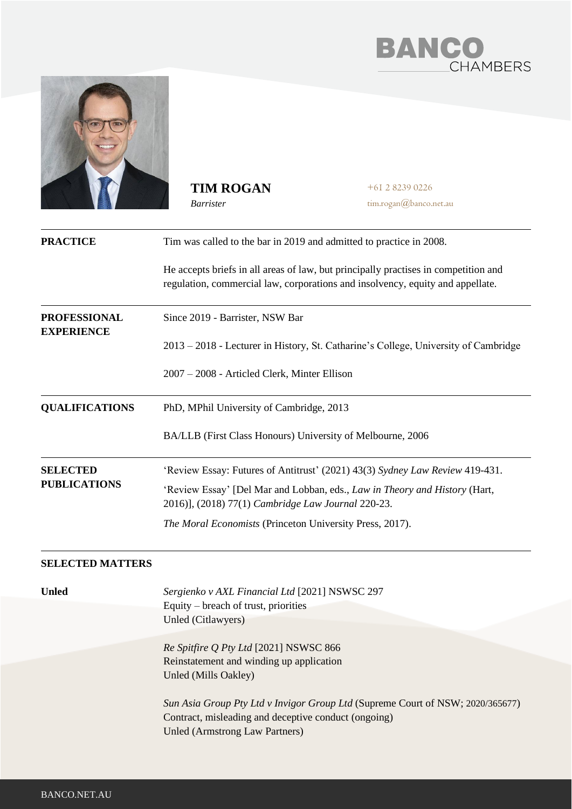



**TIM ROGAN** *Barrister*

+61 2 8239 0226 tim.rogan@banco.net.au

| <b>PRACTICE</b>                          | Tim was called to the bar in 2019 and admitted to practice in 2008.                                                                                                             |
|------------------------------------------|---------------------------------------------------------------------------------------------------------------------------------------------------------------------------------|
|                                          | He accepts briefs in all areas of law, but principally practises in competition and<br>regulation, commercial law, corporations and insolvency, equity and appellate.           |
| <b>PROFESSIONAL</b><br><b>EXPERIENCE</b> | Since 2019 - Barrister, NSW Bar                                                                                                                                                 |
|                                          | 2013 - 2018 - Lecturer in History, St. Catharine's College, University of Cambridge                                                                                             |
|                                          | 2007 – 2008 - Articled Clerk, Minter Ellison                                                                                                                                    |
| <b>QUALIFICATIONS</b>                    | PhD, MPhil University of Cambridge, 2013                                                                                                                                        |
|                                          | BA/LLB (First Class Honours) University of Melbourne, 2006                                                                                                                      |
| <b>SELECTED</b>                          | 'Review Essay: Futures of Antitrust' (2021) 43(3) Sydney Law Review 419-431.                                                                                                    |
| <b>PUBLICATIONS</b>                      | 'Review Essay' [Del Mar and Lobban, eds., Law in Theory and History (Hart,<br>2016)], (2018) 77(1) Cambridge Law Journal 220-23.                                                |
|                                          | The Moral Economists (Princeton University Press, 2017).                                                                                                                        |
| <b>SELECTED MATTERS</b>                  |                                                                                                                                                                                 |
| <b>Unled</b>                             | Sergienko v AXL Financial Ltd [2021] NSWSC 297                                                                                                                                  |
|                                          | Equity – breach of trust, priorities                                                                                                                                            |
|                                          | Unled (Citlawyers)                                                                                                                                                              |
|                                          | Re Spitfire Q Pty Ltd [2021] NSWSC 866                                                                                                                                          |
|                                          | Reinstatement and winding up application<br>Unled (Mills Oakley)                                                                                                                |
|                                          | Sun Asia Group Pty Ltd v Invigor Group Ltd (Supreme Court of NSW; 2020/365677)<br>Contract, misleading and deceptive conduct (ongoing)<br><b>Unled (Armstrong Law Partners)</b> |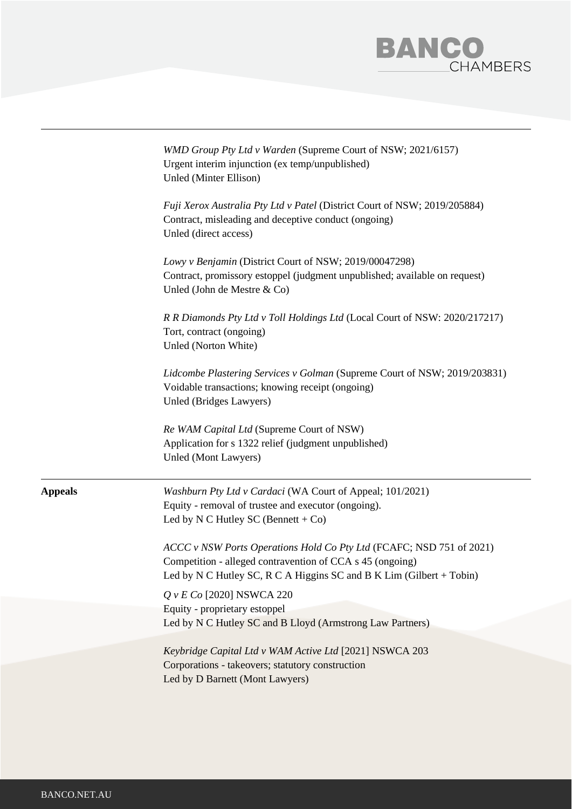

|                | WMD Group Pty Ltd v Warden (Supreme Court of NSW; 2021/6157)<br>Urgent interim injunction (ex temp/unpublished)<br>Unled (Minter Ellison)                                                                   |
|----------------|-------------------------------------------------------------------------------------------------------------------------------------------------------------------------------------------------------------|
|                | Fuji Xerox Australia Pty Ltd v Patel (District Court of NSW; 2019/205884)<br>Contract, misleading and deceptive conduct (ongoing)<br>Unled (direct access)                                                  |
|                | Lowy v Benjamin (District Court of NSW; 2019/00047298)<br>Contract, promissory estoppel (judgment unpublished; available on request)<br>Unled (John de Mestre & Co)                                         |
|                | R R Diamonds Pty Ltd v Toll Holdings Ltd (Local Court of NSW: 2020/217217)<br>Tort, contract (ongoing)<br>Unled (Norton White)                                                                              |
|                | Lidcombe Plastering Services v Golman (Supreme Court of NSW; 2019/203831)<br>Voidable transactions; knowing receipt (ongoing)<br>Unled (Bridges Lawyers)                                                    |
|                | Re WAM Capital Ltd (Supreme Court of NSW)<br>Application for s 1322 relief (judgment unpublished)<br>Unled (Mont Lawyers)                                                                                   |
| <b>Appeals</b> | Washburn Pty Ltd v Cardaci (WA Court of Appeal; 101/2021)<br>Equity - removal of trustee and executor (ongoing).<br>Led by N C Hutley SC (Bennett + Co)                                                     |
|                | ACCC v NSW Ports Operations Hold Co Pty Ltd (FCAFC; NSD 751 of 2021)<br>Competition - alleged contravention of CCA s 45 (ongoing)<br>Led by N C Hutley SC, R C A Higgins SC and B K Lim (Gilbert $+$ Tobin) |
|                | Q v E Co [2020] NSWCA 220                                                                                                                                                                                   |
|                | Equity - proprietary estoppel<br>Led by N C Hutley SC and B Lloyd (Armstrong Law Partners)                                                                                                                  |
|                | Keybridge Capital Ltd v WAM Active Ltd [2021] NSWCA 203<br>Corporations - takeovers; statutory construction<br>Led by D Barnett (Mont Lawyers)                                                              |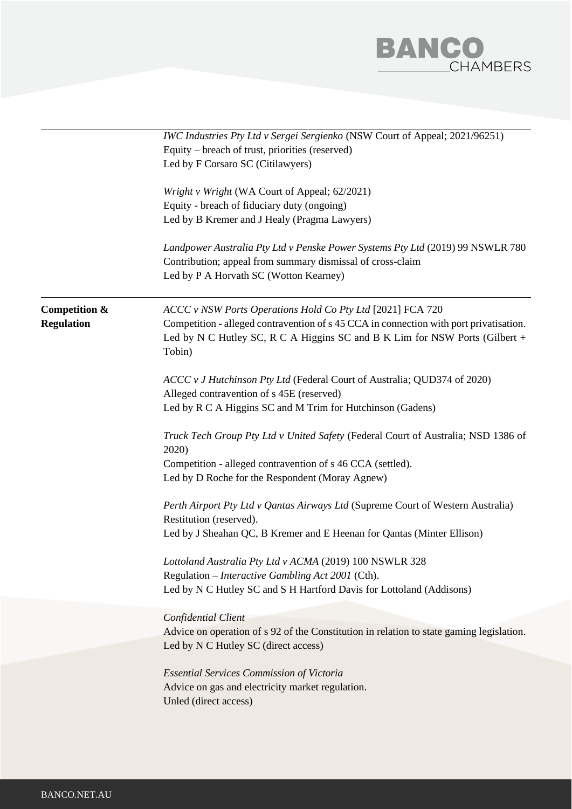

|                                    | IWC Industries Pty Ltd v Sergei Sergienko (NSW Court of Appeal; 2021/96251)<br>Equity – breach of trust, priorities (reserved)<br>Led by F Corsaro SC (Citilawyers)                                                                           |  |
|------------------------------------|-----------------------------------------------------------------------------------------------------------------------------------------------------------------------------------------------------------------------------------------------|--|
|                                    | Wright v Wright (WA Court of Appeal; 62/2021)<br>Equity - breach of fiduciary duty (ongoing)<br>Led by B Kremer and J Healy (Pragma Lawyers)                                                                                                  |  |
|                                    | Landpower Australia Pty Ltd v Penske Power Systems Pty Ltd (2019) 99 NSWLR 780<br>Contribution; appeal from summary dismissal of cross-claim<br>Led by P A Horvath SC (Wotton Kearney)                                                        |  |
| Competition &<br><b>Regulation</b> | ACCC v NSW Ports Operations Hold Co Pty Ltd [2021] FCA 720<br>Competition - alleged contravention of s 45 CCA in connection with port privatisation.<br>Led by N C Hutley SC, R C A Higgins SC and B K Lim for NSW Ports (Gilbert +<br>Tobin) |  |
|                                    | ACCC v J Hutchinson Pty Ltd (Federal Court of Australia; QUD374 of 2020)<br>Alleged contravention of s 45E (reserved)<br>Led by R C A Higgins SC and M Trim for Hutchinson (Gadens)                                                           |  |
|                                    | Truck Tech Group Pty Ltd v United Safety (Federal Court of Australia; NSD 1386 of<br>2020)                                                                                                                                                    |  |
|                                    | Competition - alleged contravention of s 46 CCA (settled).<br>Led by D Roche for the Respondent (Moray Agnew)                                                                                                                                 |  |
|                                    | Perth Airport Pty Ltd v Qantas Airways Ltd (Supreme Court of Western Australia)<br>Restitution (reserved).                                                                                                                                    |  |
|                                    | Led by J Sheahan QC, B Kremer and E Heenan for Qantas (Minter Ellison)<br>Lottoland Australia Pty Ltd v ACMA (2019) 100 NSWLR 328                                                                                                             |  |
|                                    | Regulation - Interactive Gambling Act 2001 (Cth).<br>Led by N C Hutley SC and S H Hartford Davis for Lottoland (Addisons)                                                                                                                     |  |
|                                    | Confidential Client<br>Advice on operation of s 92 of the Constitution in relation to state gaming legislation.<br>Led by N C Hutley SC (direct access)                                                                                       |  |
|                                    | <b>Essential Services Commission of Victoria</b><br>Advice on gas and electricity market regulation.<br>Unled (direct access)                                                                                                                 |  |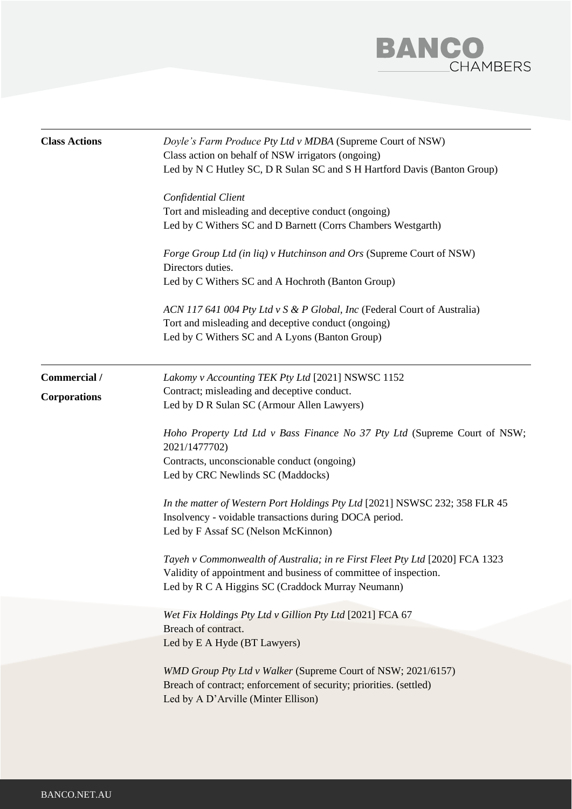

| <b>Class Actions</b> | Doyle's Farm Produce Pty Ltd v MDBA (Supreme Court of NSW)<br>Class action on behalf of NSW irrigators (ongoing)<br>Led by N C Hutley SC, D R Sulan SC and S H Hartford Davis (Banton Group)<br>Confidential Client<br>Tort and misleading and deceptive conduct (ongoing)<br>Led by C Withers SC and D Barnett (Corrs Chambers Westgarth)<br>Forge Group Ltd (in liq) v Hutchinson and Ors (Supreme Court of NSW)<br>Directors duties.<br>Led by C Withers SC and A Hochroth (Banton Group)<br>ACN 117 641 004 Pty Ltd v S & P Global, Inc (Federal Court of Australia)<br>Tort and misleading and deceptive conduct (ongoing)<br>Led by C Withers SC and A Lyons (Banton Group) |
|----------------------|-----------------------------------------------------------------------------------------------------------------------------------------------------------------------------------------------------------------------------------------------------------------------------------------------------------------------------------------------------------------------------------------------------------------------------------------------------------------------------------------------------------------------------------------------------------------------------------------------------------------------------------------------------------------------------------|
| Commercial /         | Lakomy v Accounting TEK Pty Ltd [2021] NSWSC 1152                                                                                                                                                                                                                                                                                                                                                                                                                                                                                                                                                                                                                                 |
| <b>Corporations</b>  | Contract; misleading and deceptive conduct.<br>Led by D R Sulan SC (Armour Allen Lawyers)                                                                                                                                                                                                                                                                                                                                                                                                                                                                                                                                                                                         |
|                      | Hoho Property Ltd Ltd v Bass Finance No 37 Pty Ltd (Supreme Court of NSW;<br>2021/1477702)<br>Contracts, unconscionable conduct (ongoing)<br>Led by CRC Newlinds SC (Maddocks)                                                                                                                                                                                                                                                                                                                                                                                                                                                                                                    |
|                      | In the matter of Western Port Holdings Pty Ltd [2021] NSWSC 232; 358 FLR 45<br>Insolvency - voidable transactions during DOCA period.<br>Led by F Assaf SC (Nelson McKinnon)                                                                                                                                                                                                                                                                                                                                                                                                                                                                                                      |
|                      | Tayeh v Commonwealth of Australia; in re First Fleet Pty Ltd [2020] FCA 1323<br>Validity of appointment and business of committee of inspection.<br>Led by R C A Higgins SC (Craddock Murray Neumann)                                                                                                                                                                                                                                                                                                                                                                                                                                                                             |
|                      | Wet Fix Holdings Pty Ltd v Gillion Pty Ltd [2021] FCA 67<br>Breach of contract.                                                                                                                                                                                                                                                                                                                                                                                                                                                                                                                                                                                                   |
|                      | Led by E A Hyde (BT Lawyers)                                                                                                                                                                                                                                                                                                                                                                                                                                                                                                                                                                                                                                                      |
|                      | WMD Group Pty Ltd v Walker (Supreme Court of NSW; 2021/6157)<br>Breach of contract; enforcement of security; priorities. (settled)<br>Led by A D'Arville (Minter Ellison)                                                                                                                                                                                                                                                                                                                                                                                                                                                                                                         |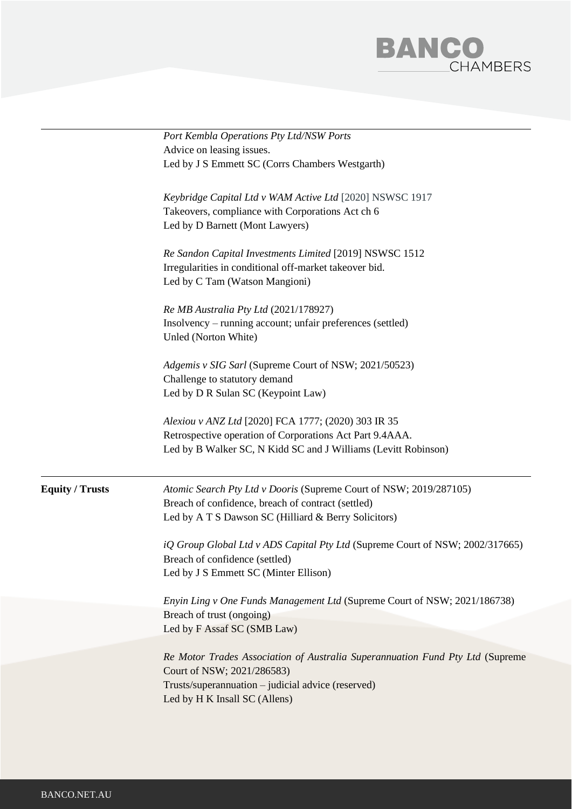

|                        | Port Kembla Operations Pty Ltd/NSW Ports                                             |
|------------------------|--------------------------------------------------------------------------------------|
|                        | Advice on leasing issues.                                                            |
|                        | Led by J S Emmett SC (Corrs Chambers Westgarth)                                      |
|                        | Keybridge Capital Ltd v WAM Active Ltd [2020] NSWSC 1917                             |
|                        | Takeovers, compliance with Corporations Act ch 6                                     |
|                        | Led by D Barnett (Mont Lawyers)                                                      |
|                        |                                                                                      |
|                        | Re Sandon Capital Investments Limited [2019] NSWSC 1512                              |
|                        | Irregularities in conditional off-market takeover bid.                               |
|                        | Led by C Tam (Watson Mangioni)                                                       |
|                        |                                                                                      |
|                        | Re MB Australia Pty Ltd (2021/178927)                                                |
|                        | Insolvency – running account; unfair preferences (settled)                           |
|                        | Unled (Norton White)                                                                 |
|                        | Adgemis v SIG Sarl (Supreme Court of NSW; 2021/50523)                                |
|                        | Challenge to statutory demand                                                        |
|                        | Led by D R Sulan SC (Keypoint Law)                                                   |
|                        |                                                                                      |
|                        | Alexiou v ANZ Ltd [2020] FCA 1777; (2020) 303 IR 35                                  |
|                        | Retrospective operation of Corporations Act Part 9.4AAA.                             |
|                        | Led by B Walker SC, N Kidd SC and J Williams (Levitt Robinson)                       |
| <b>Equity / Trusts</b> | Atomic Search Pty Ltd v Dooris (Supreme Court of NSW; 2019/287105)                   |
|                        | Breach of confidence, breach of contract (settled)                                   |
|                        | Led by A T S Dawson SC (Hilliard & Berry Solicitors)                                 |
|                        | <i>iQ Group Global Ltd v ADS Capital Pty Ltd (Supreme Court of NSW; 2002/317665)</i> |
|                        | Breach of confidence (settled)                                                       |
|                        | Led by J S Emmett SC (Minter Ellison)                                                |
|                        | Enyin Ling v One Funds Management Ltd (Supreme Court of NSW; 2021/186738)            |
|                        | Breach of trust (ongoing)                                                            |
|                        | Led by F Assaf SC (SMB Law)                                                          |
|                        | Re Motor Trades Association of Australia Superannuation Fund Pty Ltd (Supreme        |
|                        | Court of NSW; 2021/286583)                                                           |
|                        | Trusts/superannuation - judicial advice (reserved)                                   |
|                        | Led by H K Insall SC (Allens)                                                        |
|                        |                                                                                      |